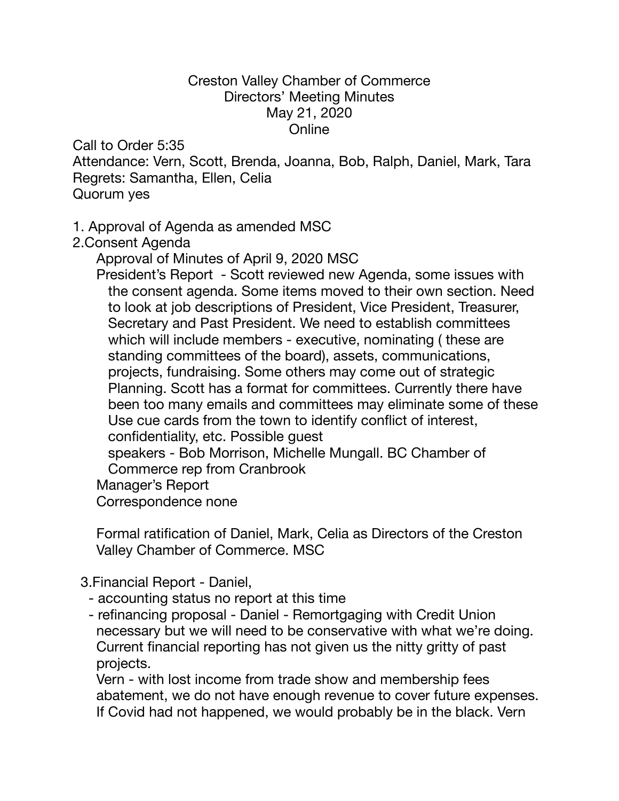## Creston Valley Chamber of Commerce Directors' Meeting Minutes May 21, 2020 Online

Call to Order 5:35

Attendance: Vern, Scott, Brenda, Joanna, Bob, Ralph, Daniel, Mark, Tara Regrets: Samantha, Ellen, Celia Quorum yes

## 1. Approval of Agenda as amended MSC

2.Consent Agenda

Approval of Minutes of April 9, 2020 MSC

 President's Report - Scott reviewed new Agenda, some issues with the consent agenda. Some items moved to their own section. Need to look at job descriptions of President, Vice President, Treasurer, Secretary and Past President. We need to establish committees which will include members - executive, nominating ( these are standing committees of the board), assets, communications, projects, fundraising. Some others may come out of strategic Planning. Scott has a format for committees. Currently there have been too many emails and committees may eliminate some of these Use cue cards from the town to identify conflict of interest, confidentiality, etc. Possible guest speakers - Bob Morrison, Michelle Mungall. BC Chamber of Commerce rep from Cranbrook Manager's Report Correspondence none

 Formal ratification of Daniel, Mark, Celia as Directors of the Creston Valley Chamber of Commerce. MSC

3.Financial Report - Daniel,

- accounting status no report at this time
- refinancing proposal Daniel Remortgaging with Credit Union necessary but we will need to be conservative with what we're doing. Current financial reporting has not given us the nitty gritty of past projects.

 Vern - with lost income from trade show and membership fees abatement, we do not have enough revenue to cover future expenses. If Covid had not happened, we would probably be in the black. Vern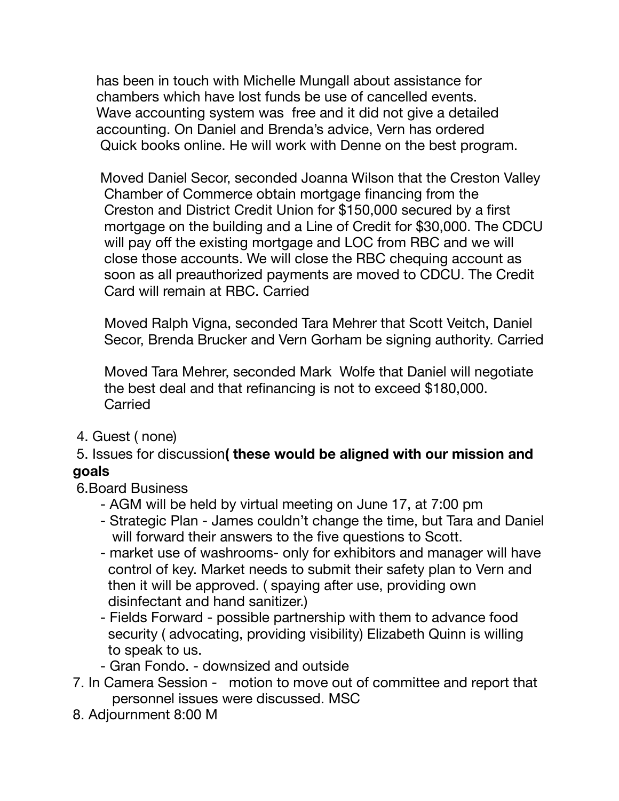has been in touch with Michelle Mungall about assistance for chambers which have lost funds be use of cancelled events. Wave accounting system was free and it did not give a detailed accounting. On Daniel and Brenda's advice, Vern has ordered Quick books online. He will work with Denne on the best program.

 Moved Daniel Secor, seconded Joanna Wilson that the Creston Valley Chamber of Commerce obtain mortgage financing from the Creston and District Credit Union for \$150,000 secured by a first mortgage on the building and a Line of Credit for \$30,000. The CDCU will pay off the existing mortgage and LOC from RBC and we will close those accounts. We will close the RBC chequing account as soon as all preauthorized payments are moved to CDCU. The Credit Card will remain at RBC. Carried

 Moved Ralph Vigna, seconded Tara Mehrer that Scott Veitch, Daniel Secor, Brenda Brucker and Vern Gorham be signing authority. Carried

 Moved Tara Mehrer, seconded Mark Wolfe that Daniel will negotiate the best deal and that refinancing is not to exceed \$180,000. **Carried** 

4. Guest ( none)

## 5. Issues for discussion**( these would be aligned with our mission and goals**

## 6.Board Business

- AGM will be held by virtual meeting on June 17, at 7:00 pm
- Strategic Plan James couldn't change the time, but Tara and Daniel will forward their answers to the five questions to Scott.
- market use of washrooms- only for exhibitors and manager will have control of key. Market needs to submit their safety plan to Vern and then it will be approved. ( spaying after use, providing own disinfectant and hand sanitizer.)
- Fields Forward possible partnership with them to advance food security ( advocating, providing visibility) Elizabeth Quinn is willing to speak to us.
- Gran Fondo. downsized and outside
- 7. In Camera Session motion to move out of committee and report that personnel issues were discussed. MSC
- 8. Adjournment 8:00 M